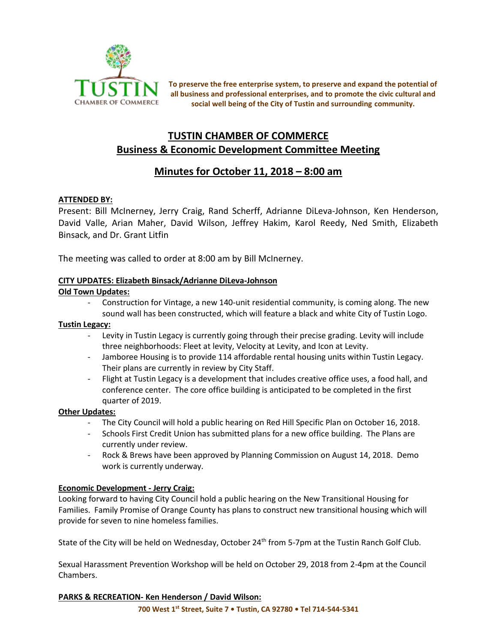

**To preserve the free enterprise system, to preserve and expand the potential of all business and professional enterprises, and to promote the civic cultural and social well being of the City of Tustin and surrounding community.**

# **TUSTIN CHAMBER OF COMMERCE Business & Economic Development Committee Meeting**

# **Minutes for October 11, 2018 – 8:00 am**

## **ATTENDED BY:**

Present: Bill McInerney, Jerry Craig, Rand Scherff, Adrianne DiLeva-Johnson, Ken Henderson, David Valle, Arian Maher, David Wilson, Jeffrey Hakim, Karol Reedy, Ned Smith, Elizabeth Binsack, and Dr. Grant Litfin

The meeting was called to order at 8:00 am by Bill McInerney.

## **CITY UPDATES: Elizabeth Binsack/Adrianne DiLeva-Johnson**

#### **Old Town Updates:**

- Construction for Vintage, a new 140-unit residential community, is coming along. The new sound wall has been constructed, which will feature a black and white City of Tustin Logo.

### **Tustin Legacy:**

- Levity in Tustin Legacy is currently going through their precise grading. Levity will include three neighborhoods: Fleet at levity, Velocity at Levity, and Icon at Levity.
- Jamboree Housing is to provide 114 affordable rental housing units within Tustin Legacy. Their plans are currently in review by City Staff.
- Flight at Tustin Legacy is a development that includes creative office uses, a food hall, and conference center. The core office building is anticipated to be completed in the first quarter of 2019.

## **Other Updates:**

- The City Council will hold a public hearing on Red Hill Specific Plan on October 16, 2018.
- Schools First Credit Union has submitted plans for a new office building. The Plans are currently under review.
- Rock & Brews have been approved by Planning Commission on August 14, 2018. Demo work is currently underway.

#### **Economic Development - Jerry Craig:**

Looking forward to having City Council hold a public hearing on the New Transitional Housing for Families. Family Promise of Orange County has plans to construct new transitional housing which will provide for seven to nine homeless families.

State of the City will be held on Wednesday, October 24<sup>th</sup> from 5-7pm at the Tustin Ranch Golf Club.

Sexual Harassment Prevention Workshop will be held on October 29, 2018 from 2-4pm at the Council Chambers.

## **PARKS & RECREATION- Ken Henderson / David Wilson:**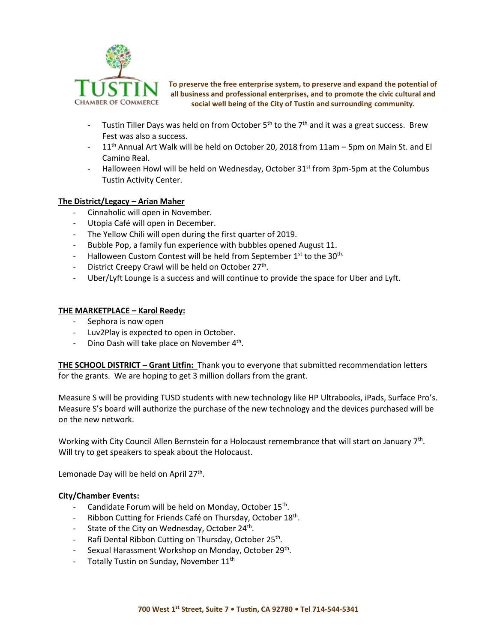

**To preserve the free enterprise system, to preserve and expand the potential of all business and professional enterprises, and to promote the civic cultural and social well being of the City of Tustin and surrounding community.**

- Tustin Tiller Days was held on from October  $5<sup>th</sup>$  to the  $7<sup>th</sup>$  and it was a great success. Brew Fest was also a success.
- 11<sup>th</sup> Annual Art Walk will be held on October 20, 2018 from 11am 5pm on Main St. and El Camino Real.
- Halloween Howl will be held on Wednesday, October  $31<sup>st</sup>$  from 3pm-5pm at the Columbus Tustin Activity Center.

#### **The District/Legacy – Arian Maher**

- Cinnaholic will open in November.
- Utopia Café will open in December.
- The Yellow Chili will open during the first quarter of 2019.
- Bubble Pop, a family fun experience with bubbles opened August 11.
- Halloween Custom Contest will be held from September  $1<sup>st</sup>$  to the 30<sup>th.</sup>
- District Creepy Crawl will be held on October 27<sup>th</sup>.
- Uber/Lyft Lounge is a success and will continue to provide the space for Uber and Lyft.

#### **THE MARKETPLACE – Karol Reedy:**

- Sephora is now open
- Luv2Play is expected to open in October.
- Dino Dash will take place on November 4<sup>th</sup>.

**THE SCHOOL DISTRICT – Grant Litfin:** Thank you to everyone that submitted recommendation letters for the grants. We are hoping to get 3 million dollars from the grant.

Measure S will be providing TUSD students with new technology like HP Ultrabooks, iPads, Surface Pro's. Measure S's board will authorize the purchase of the new technology and the devices purchased will be on the new network.

Working with City Council Allen Bernstein for a Holocaust remembrance that will start on January 7<sup>th</sup>. Will try to get speakers to speak about the Holocaust.

Lemonade Day will be held on April 27<sup>th</sup>.

#### **City/Chamber Events:**

- Candidate Forum will be held on Monday, October 15<sup>th</sup>.
- Ribbon Cutting for Friends Café on Thursday, October 18<sup>th</sup>.
- State of the City on Wednesday, October 24<sup>th</sup>.
- Rafi Dental Ribbon Cutting on Thursday, October 25<sup>th</sup>.
- Sexual Harassment Workshop on Monday, October 29<sup>th</sup>.
- Totally Tustin on Sunday, November 11<sup>th</sup>